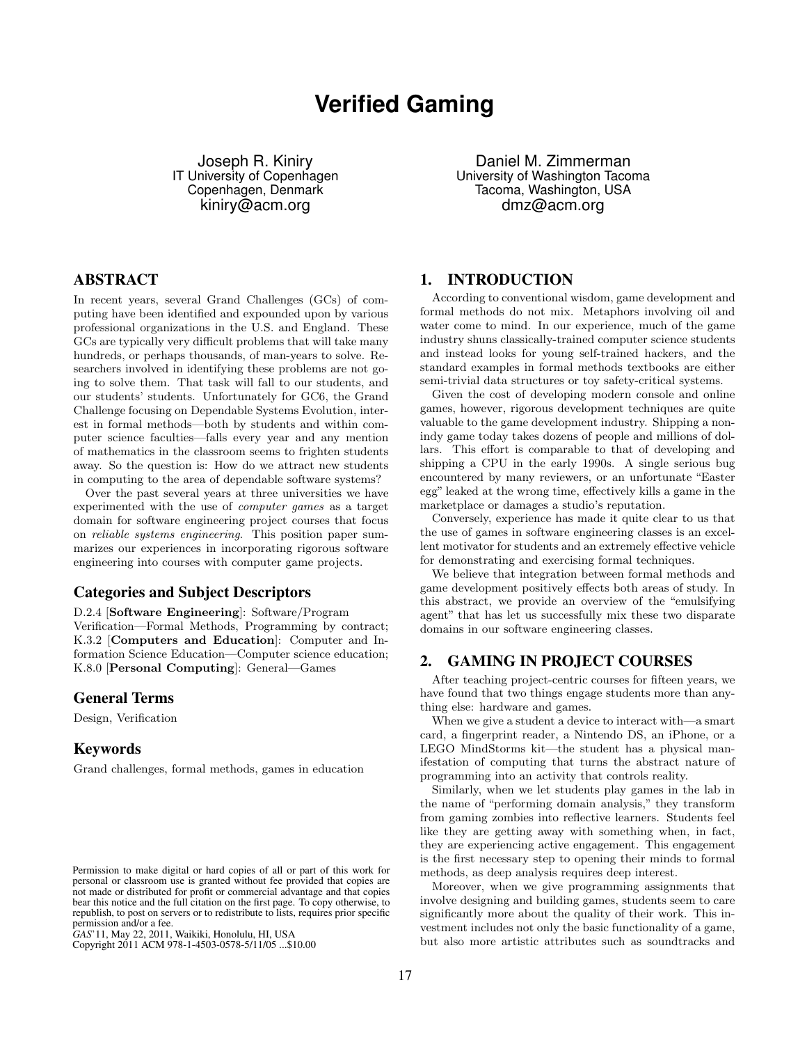# **Verified Gaming**

Joseph R. Kiniry IT University of Copenhagen Copenhagen, Denmark kiniry@acm.org

Daniel M. Zimmerman University of Washington Tacoma Tacoma, Washington, USA dmz@acm.org

# ABSTRACT

In recent years, several Grand Challenges (GCs) of computing have been identified and expounded upon by various professional organizations in the U.S. and England. These GCs are typically very difficult problems that will take many hundreds, or perhaps thousands, of man-years to solve. Researchers involved in identifying these problems are not going to solve them. That task will fall to our students, and our students' students. Unfortunately for GC6, the Grand Challenge focusing on Dependable Systems Evolution, interest in formal methods—both by students and within computer science faculties—falls every year and any mention of mathematics in the classroom seems to frighten students away. So the question is: How do we attract new students in computing to the area of dependable software systems?

Over the past several years at three universities we have experimented with the use of computer games as a target domain for software engineering project courses that focus on reliable systems engineering. This position paper summarizes our experiences in incorporating rigorous software engineering into courses with computer game projects.

### Categories and Subject Descriptors

D.2.4 [Software Engineering]: Software/Program Verification—Formal Methods, Programming by contract; K.3.2 [Computers and Education]: Computer and Information Science Education—Computer science education; K.8.0 [Personal Computing]: General—Games

#### General Terms

Design, Verification

## Keywords

Grand challenges, formal methods, games in education

Copyright 2011 ACM 978-1-4503-0578-5/11/05 ...\$10.00. Copyright 2011 ACM 978-1-4503-0578-5/11/05 ...\$10.00

## 1. INTRODUCTION

According to conventional wisdom, game development and formal methods do not mix. Metaphors involving oil and water come to mind. In our experience, much of the game industry shuns classically-trained computer science students and instead looks for young self-trained hackers, and the standard examples in formal methods textbooks are either semi-trivial data structures or toy safety-critical systems.

Given the cost of developing modern console and online games, however, rigorous development techniques are quite valuable to the game development industry. Shipping a nonindy game today takes dozens of people and millions of dollars. This effort is comparable to that of developing and shipping a CPU in the early 1990s. A single serious bug encountered by many reviewers, or an unfortunate "Easter egg" leaked at the wrong time, effectively kills a game in the marketplace or damages a studio's reputation.

Conversely, experience has made it quite clear to us that the use of games in software engineering classes is an excellent motivator for students and an extremely effective vehicle for demonstrating and exercising formal techniques.

We believe that integration between formal methods and game development positively effects both areas of study. In this abstract, we provide an overview of the "emulsifying agent" that has let us successfully mix these two disparate domains in our software engineering classes.

## 2. GAMING IN PROJECT COURSES

After teaching project-centric courses for fifteen years, we have found that two things engage students more than anything else: hardware and games.

When we give a student a device to interact with—a smart card, a fingerprint reader, a Nintendo DS, an iPhone, or a LEGO MindStorms kit—the student has a physical manifestation of computing that turns the abstract nature of programming into an activity that controls reality.

Similarly, when we let students play games in the lab in the name of "performing domain analysis," they transform from gaming zombies into reflective learners. Students feel like they are getting away with something when, in fact, they are experiencing active engagement. This engagement is the first necessary step to opening their minds to formal methods, as deep analysis requires deep interest.

Moreover, when we give programming assignments that involve designing and building games, students seem to care significantly more about the quality of their work. This investment includes not only the basic functionality of a game, Permission to make digital or hard copies of all or part of this work for<br>personal or classroom use is granted without fee provided that copies are there are programming assignments that<br>hot made or distributed for profit

Permission to make digital or hard copies of all or part of this work for permission to make digital or hard copies of all or part of this work for not made or distributed for profit or commercial advantage and that copies not made or distributed for profit or commercial advantage and that copies bear this notice and the full citation on the first page. To copy otherwise, to bear this notice and the full citation on the first page. To copy otherwise, to republish, to post on servers or to redistribute to lists, requires prior specific republish, to post on servers or to redistribute to lists, requires prior specific permission and/or a fee. personal or classroom use is granted without fee provided that copies are

*GAS* '11, May 22, 2011, Waikiki, Honolulu, HI, USA permission and/or a fee. *GAS*'11, May 22, 2011, Waikiki, Honolulu, HI, USA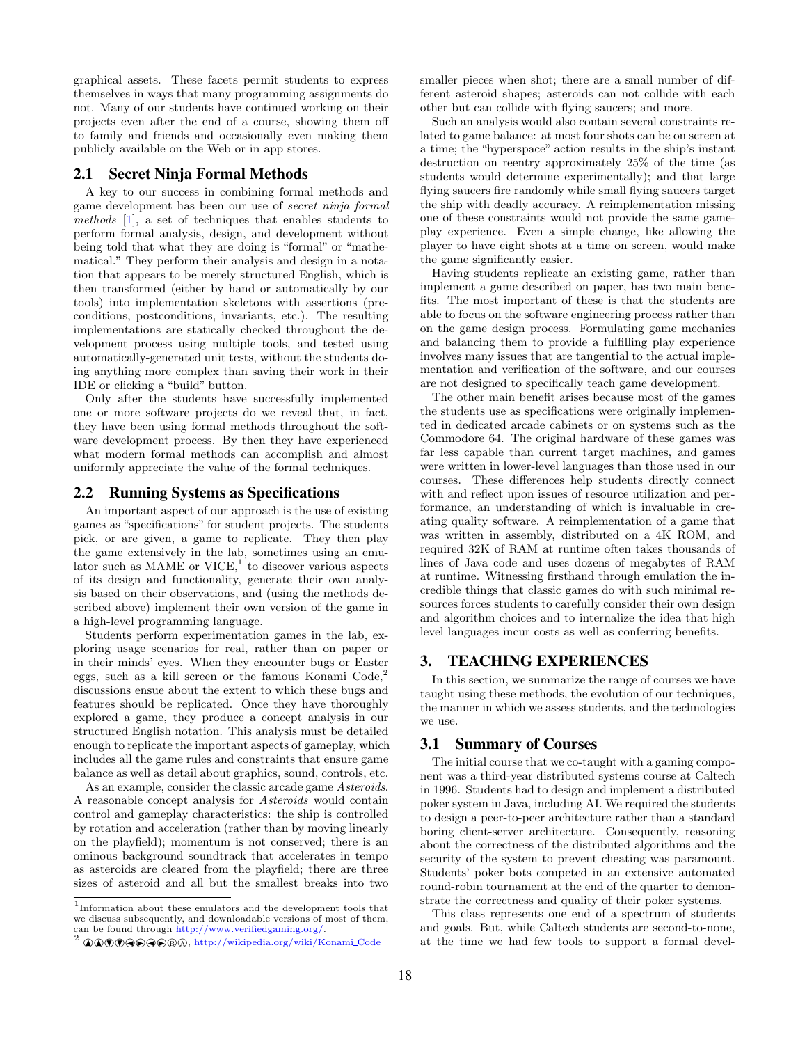graphical assets. These facets permit students to express themselves in ways that many programming assignments do not. Many of our students have continued working on their projects even after the end of a course, showing them off to family and friends and occasionally even making them publicly available on the Web or in app stores.

## 2.1 Secret Ninja Formal Methods

A key to our success in combining formal methods and game development has been our use of secret ninja formal methods [1], a set of techniques that enables students to perform formal analysis, design, and development without being told that what they are doing is "formal" or "mathematical." They perform their analysis and design in a notation that appears to be merely structured English, which is then transformed (either by hand or automatically by our tools) into implementation skeletons with assertions (preconditions, postconditions, invariants, etc.). The resulting implementations are statically checked throughout the development process using multiple tools, and tested using automatically-generated unit tests, without the students doing anything more complex than saving their work in their IDE or clicking a "build" button.

Only after the students have successfully implemented one or more software projects do we reveal that, in fact, they have been using formal methods throughout the software development process. By then they have experienced what modern formal methods can accomplish and almost uniformly appreciate the value of the formal techniques.

#### 2.2 Running Systems as Specifications

An important aspect of our approach is the use of existing games as "specifications" for student projects. The students pick, or are given, a game to replicate. They then play the game extensively in the lab, sometimes using an emulator such as MAME or  $VICE<sub>1</sub><sup>1</sup>$  to discover various aspects of its design and functionality, generate their own analysis based on their observations, and (using the methods described above) implement their own version of the game in a high-level programming language.

Students perform experimentation games in the lab, exploring usage scenarios for real, rather than on paper or in their minds' eyes. When they encounter bugs or Easter eggs, such as a kill screen or the famous Konami  $Code<sub>1</sub><sup>2</sup>$ discussions ensue about the extent to which these bugs and features should be replicated. Once they have thoroughly explored a game, they produce a concept analysis in our structured English notation. This analysis must be detailed enough to replicate the important aspects of gameplay, which includes all the game rules and constraints that ensure game balance as well as detail about graphics, sound, controls, etc.

As an example, consider the classic arcade game Asteroids. A reasonable concept analysis for Asteroids would contain control and gameplay characteristics: the ship is controlled by rotation and acceleration (rather than by moving linearly on the playfield); momentum is not conserved; there is an ominous background soundtrack that accelerates in tempo as asteroids are cleared from the playfield; there are three sizes of asteroid and all but the smallest breaks into two smaller pieces when shot; there are a small number of different asteroid shapes; asteroids can not collide with each other but can collide with flying saucers; and more.

Such an analysis would also contain several constraints related to game balance: at most four shots can be on screen at a time; the "hyperspace" action results in the ship's instant destruction on reentry approximately 25% of the time (as students would determine experimentally); and that large flying saucers fire randomly while small flying saucers target the ship with deadly accuracy. A reimplementation missing one of these constraints would not provide the same gameplay experience. Even a simple change, like allowing the player to have eight shots at a time on screen, would make the game significantly easier.

Having students replicate an existing game, rather than implement a game described on paper, has two main benefits. The most important of these is that the students are able to focus on the software engineering process rather than on the game design process. Formulating game mechanics and balancing them to provide a fulfilling play experience involves many issues that are tangential to the actual implementation and verification of the software, and our courses are not designed to specifically teach game development.

The other main benefit arises because most of the games the students use as specifications were originally implemented in dedicated arcade cabinets or on systems such as the Commodore 64. The original hardware of these games was far less capable than current target machines, and games were written in lower-level languages than those used in our courses. These differences help students directly connect with and reflect upon issues of resource utilization and performance, an understanding of which is invaluable in creating quality software. A reimplementation of a game that was written in assembly, distributed on a 4K ROM, and required 32K of RAM at runtime often takes thousands of lines of Java code and uses dozens of megabytes of RAM at runtime. Witnessing firsthand through emulation the incredible things that classic games do with such minimal resources forces students to carefully consider their own design and algorithm choices and to internalize the idea that high level languages incur costs as well as conferring benefits.

#### 3. TEACHING EXPERIENCES

In this section, we summarize the range of courses we have taught using these methods, the evolution of our techniques, the manner in which we assess students, and the technologies we use.

#### 3.1 Summary of Courses

The initial course that we co-taught with a gaming component was a third-year distributed systems course at Caltech in 1996. Students had to design and implement a distributed poker system in Java, including AI. We required the students to design a peer-to-peer architecture rather than a standard boring client-server architecture. Consequently, reasoning about the correctness of the distributed algorithms and the security of the system to prevent cheating was paramount. Students' poker bots competed in an extensive automated round-robin tournament at the end of the quarter to demonstrate the correctness and quality of their poker systems.

This class represents one end of a spectrum of students and goals. But, while Caltech students are second-to-none, at the time we had few tools to support a formal devel-

<sup>1</sup> Information about these emulators and the development tools that we discuss subsequently, and downloadable versions of most of them, can be found through http://www.verifiedgaming.org/.

*<sup>&</sup>lt;b>* © ⊙ ⊙ ⊙ ⊙ ® ® , http://wikipedia.org/wiki/Konami\_Code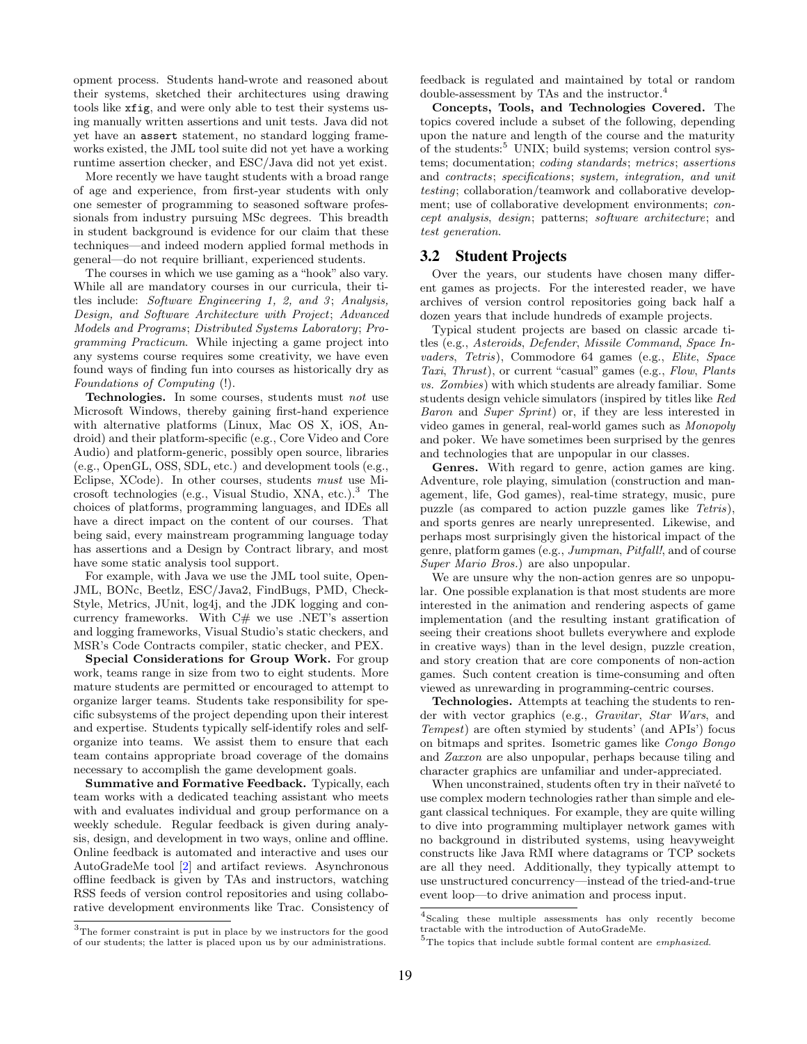opment process. Students hand-wrote and reasoned about their systems, sketched their architectures using drawing tools like xfig, and were only able to test their systems using manually written assertions and unit tests. Java did not yet have an assert statement, no standard logging frameworks existed, the JML tool suite did not yet have a working runtime assertion checker, and ESC/Java did not yet exist.

More recently we have taught students with a broad range of age and experience, from first-year students with only one semester of programming to seasoned software professionals from industry pursuing MSc degrees. This breadth in student background is evidence for our claim that these techniques—and indeed modern applied formal methods in general—do not require brilliant, experienced students.

The courses in which we use gaming as a "hook" also vary. While all are mandatory courses in our curricula, their titles include: Software Engineering 1, 2, and 3; Analysis, Design, and Software Architecture with Project; Advanced Models and Programs; Distributed Systems Laboratory; Programming Practicum. While injecting a game project into any systems course requires some creativity, we have even found ways of finding fun into courses as historically dry as Foundations of Computing (!).

Technologies. In some courses, students must not use Microsoft Windows, thereby gaining first-hand experience with alternative platforms (Linux, Mac OS X, iOS, Android) and their platform-specific (e.g., Core Video and Core Audio) and platform-generic, possibly open source, libraries (e.g., OpenGL, OSS, SDL, etc.) and development tools (e.g., Eclipse, XCode). In other courses, students must use Microsoft technologies (e.g., Visual Studio, XNA, etc.).<sup>3</sup> The choices of platforms, programming languages, and IDEs all have a direct impact on the content of our courses. That being said, every mainstream programming language today has assertions and a Design by Contract library, and most have some static analysis tool support.

For example, with Java we use the JML tool suite, Open-JML, BONc, Beetlz, ESC/Java2, FindBugs, PMD, Check-Style, Metrics, JUnit, log4j, and the JDK logging and concurrency frameworks. With C# we use .NET's assertion and logging frameworks, Visual Studio's static checkers, and MSR's Code Contracts compiler, static checker, and PEX.

Special Considerations for Group Work. For group work, teams range in size from two to eight students. More mature students are permitted or encouraged to attempt to organize larger teams. Students take responsibility for specific subsystems of the project depending upon their interest and expertise. Students typically self-identify roles and selforganize into teams. We assist them to ensure that each team contains appropriate broad coverage of the domains necessary to accomplish the game development goals.

Summative and Formative Feedback. Typically, each team works with a dedicated teaching assistant who meets with and evaluates individual and group performance on a weekly schedule. Regular feedback is given during analysis, design, and development in two ways, online and offline. Online feedback is automated and interactive and uses our AutoGradeMe tool [2] and artifact reviews. Asynchronous offline feedback is given by TAs and instructors, watching RSS feeds of version control repositories and using collaborative development environments like Trac. Consistency of

feedback is regulated and maintained by total or random double-assessment by TAs and the instructor.<sup>4</sup>

Concepts, Tools, and Technologies Covered. The topics covered include a subset of the following, depending upon the nature and length of the course and the maturity of the students: $5$  UNIX; build systems; version control systems; documentation; coding standards; metrics; assertions and contracts; specifications; system, integration, and unit testing; collaboration/teamwork and collaborative development; use of collaborative development environments; concept analysis, design; patterns; software architecture; and test generation.

## 3.2 Student Projects

Over the years, our students have chosen many different games as projects. For the interested reader, we have archives of version control repositories going back half a dozen years that include hundreds of example projects.

Typical student projects are based on classic arcade titles (e.g., Asteroids, Defender, Missile Command, Space Invaders, Tetris), Commodore 64 games (e.g., Elite, Space Taxi, Thrust), or current "casual" games (e.g., Flow, Plants vs. Zombies) with which students are already familiar. Some students design vehicle simulators (inspired by titles like Red Baron and Super Sprint) or, if they are less interested in video games in general, real-world games such as Monopoly and poker. We have sometimes been surprised by the genres and technologies that are unpopular in our classes.

Genres. With regard to genre, action games are king. Adventure, role playing, simulation (construction and management, life, God games), real-time strategy, music, pure puzzle (as compared to action puzzle games like Tetris), and sports genres are nearly unrepresented. Likewise, and perhaps most surprisingly given the historical impact of the genre, platform games (e.g., Jumpman, Pitfall!, and of course Super Mario Bros.) are also unpopular.

We are unsure why the non-action genres are so unpopular. One possible explanation is that most students are more interested in the animation and rendering aspects of game implementation (and the resulting instant gratification of seeing their creations shoot bullets everywhere and explode in creative ways) than in the level design, puzzle creation, and story creation that are core components of non-action games. Such content creation is time-consuming and often viewed as unrewarding in programming-centric courses.

Technologies. Attempts at teaching the students to render with vector graphics (e.g., Gravitar, Star Wars, and Tempest) are often stymied by students' (and APIs') focus on bitmaps and sprites. Isometric games like Congo Bongo and Zaxxon are also unpopular, perhaps because tiling and character graphics are unfamiliar and under-appreciated.

When unconstrained, students often try in their naïveté to use complex modern technologies rather than simple and elegant classical techniques. For example, they are quite willing to dive into programming multiplayer network games with no background in distributed systems, using heavyweight constructs like Java RMI where datagrams or TCP sockets are all they need. Additionally, they typically attempt to use unstructured concurrency—instead of the tried-and-true event loop—to drive animation and process input.

 ${\rm ^3}$  The former constraint is put in place by we instructors for the good of our students; the latter is placed upon us by our administrations.

<sup>&</sup>lt;sup>4</sup>Scaling these multiple assessments has only recently become tractable with the introduction of AutoGradeMe.

 $^5\!$  The topics that include subtle formal content are  $emphasized.$